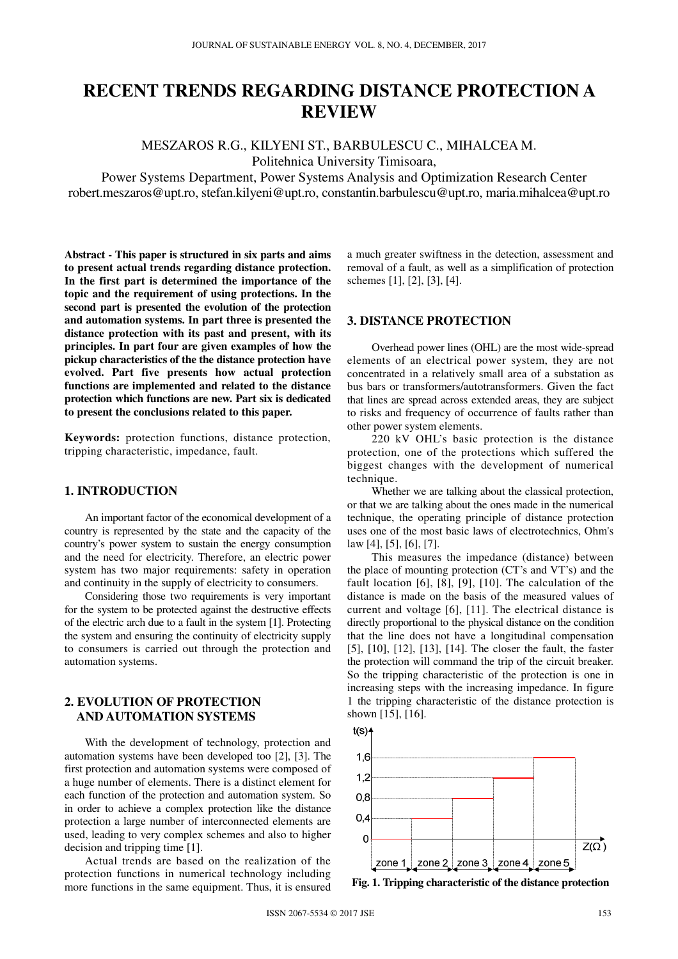# **RECENT TRENDS REGARDING DISTANCE PROTECTION A REVIEW**

MESZAROS R.G., KILYENI ST., BARBULESCU C., MIHALCEA M. Politehnica University Timisoara,

Power Systems Department, Power Systems Analysis and Optimization Research Center robert.meszaros@upt.ro, stefan.kilyeni@upt.ro, constantin.barbulescu@upt.ro, maria.mihalcea@upt.ro

**Abstract - This paper is structured in six parts and aims to present actual trends regarding distance protection. In the first part is determined the importance of the topic and the requirement of using protections. In the second part is presented the evolution of the protection and automation systems. In part three is presented the distance protection with its past and present, with its principles. In part four are given examples of how the pickup characteristics of the the distance protection have evolved. Part five presents how actual protection functions are implemented and related to the distance protection which functions are new. Part six is dedicated to present the conclusions related to this paper.** 

**Keywords:** protection functions, distance protection, tripping characteristic, impedance, fault.

# **1. INTRODUCTION**

An important factor of the economical development of a country is represented by the state and the capacity of the country's power system to sustain the energy consumption and the need for electricity. Therefore, an electric power system has two major requirements: safety in operation and continuity in the supply of electricity to consumers.

Considering those two requirements is very important for the system to be protected against the destructive effects of the electric arch due to a fault in the system [1]. Protecting the system and ensuring the continuity of electricity supply to consumers is carried out through the protection and automation systems.

## **2. EVOLUTION OF PROTECTION AND AUTOMATION SYSTEMS**

With the development of technology, protection and automation systems have been developed too [2], [3]. The first protection and automation systems were composed of a huge number of elements. There is a distinct element for each function of the protection and automation system. So in order to achieve a complex protection like the distance protection a large number of interconnected elements are used, leading to very complex schemes and also to higher decision and tripping time [1].

Actual trends are based on the realization of the protection functions in numerical technology including more functions in the same equipment. Thus, it is ensured

a much greater swiftness in the detection, assessment and removal of a fault, as well as a simplification of protection schemes [1], [2], [3], [4].

## **3. DISTANCE PROTECTION**

Overhead power lines (OHL) are the most wide-spread elements of an electrical power system, they are not concentrated in a relatively small area of a substation as bus bars or transformers/autotransformers. Given the fact that lines are spread across extended areas, they are subject to risks and frequency of occurrence of faults rather than other power system elements.

220 kV OHL's basic protection is the distance protection, one of the protections which suffered the biggest changes with the development of numerical technique.

Whether we are talking about the classical protection, or that we are talking about the ones made in the numerical technique, the operating principle of distance protection uses one of the most basic laws of electrotechnics, Ohm's law [4], [5], [6], [7].

This measures the impedance (distance) between the place of mounting protection (CT's and VT's) and the fault location [6], [8], [9], [10]. The calculation of the distance is made on the basis of the measured values of current and voltage [6], [11]. The electrical distance is directly proportional to the physical distance on the condition that the line does not have a longitudinal compensation [5], [10], [12], [13], [14]. The closer the fault, the faster the protection will command the trip of the circuit breaker. So the tripping characteristic of the protection is one in increasing steps with the increasing impedance. In figure 1 the tripping characteristic of the distance protection is shown [15], [16].



**Fig. 1. Tripping characteristic of the distance protection**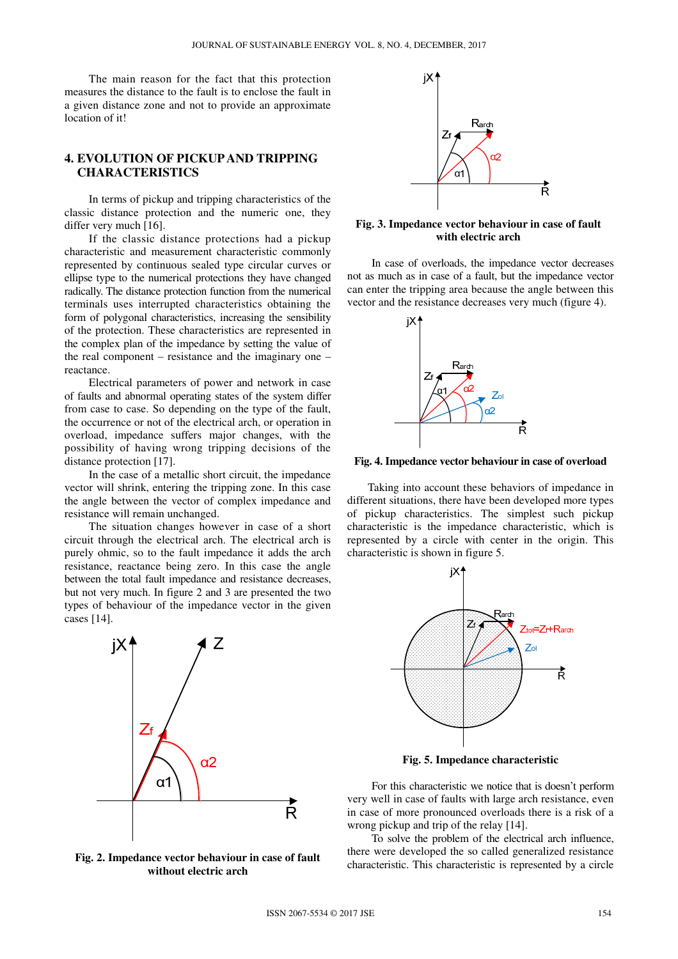The main reason for the fact that this protection measures the distance to the fault is to enclose the fault in a given distance zone and not to provide an approximate location of it!

## **4. EVOLUTION OF PICKUP AND TRIPPING CHARACTERISTICS**

In terms of pickup and tripping characteristics of the classic distance protection and the numeric one, they differ very much [16].

If the classic distance protections had a pickup characteristic and measurement characteristic commonly represented by continuous sealed type circular curves or ellipse type to the numerical protections they have changed radically. The distance protection function from the numerical terminals uses interrupted characteristics obtaining the form of polygonal characteristics, increasing the sensibility of the protection. These characteristics are represented in the complex plan of the impedance by setting the value of the real component – resistance and the imaginary one – reactance.

Electrical parameters of power and network in case of faults and abnormal operating states of the system differ from case to case. So depending on the type of the fault, the occurrence or not of the electrical arch, or operation in overload, impedance suffers major changes, with the possibility of having wrong tripping decisions of the distance protection [17].

In the case of a metallic short circuit, the impedance vector will shrink, entering the tripping zone. In this case the angle between the vector of complex impedance and resistance will remain unchanged.

The situation changes however in case of a short circuit through the electrical arch. The electrical arch is purely ohmic, so to the fault impedance it adds the arch resistance, reactance being zero. In this case the angle between the total fault impedance and resistance decreases, but not very much. In figure 2 and 3 are presented the two types of behaviour of the impedance vector in the given cases [14].



**Fig. 2. Impedance vector behaviour in case of fault without electric arch** 



**Fig. 3. Impedance vector behaviour in case of fault with electric arch** 

In case of overloads, the impedance vector decreases not as much as in case of a fault, but the impedance vector can enter the tripping area because the angle between this vector and the resistance decreases very much (figure 4).



**Fig. 4. Impedance vector behaviour in case of overload** 

Taking into account these behaviors of impedance in different situations, there have been developed more types of pickup characteristics. The simplest such pickup characteristic is the impedance characteristic, which is represented by a circle with center in the origin. This characteristic is shown in figure 5.



**Fig. 5. Impedance characteristic** 

For this characteristic we notice that is doesn't perform very well in case of faults with large arch resistance, even in case of more pronounced overloads there is a risk of a wrong pickup and trip of the relay [14].

To solve the problem of the electrical arch influence, there were developed the so called generalized resistance characteristic. This characteristic is represented by a circle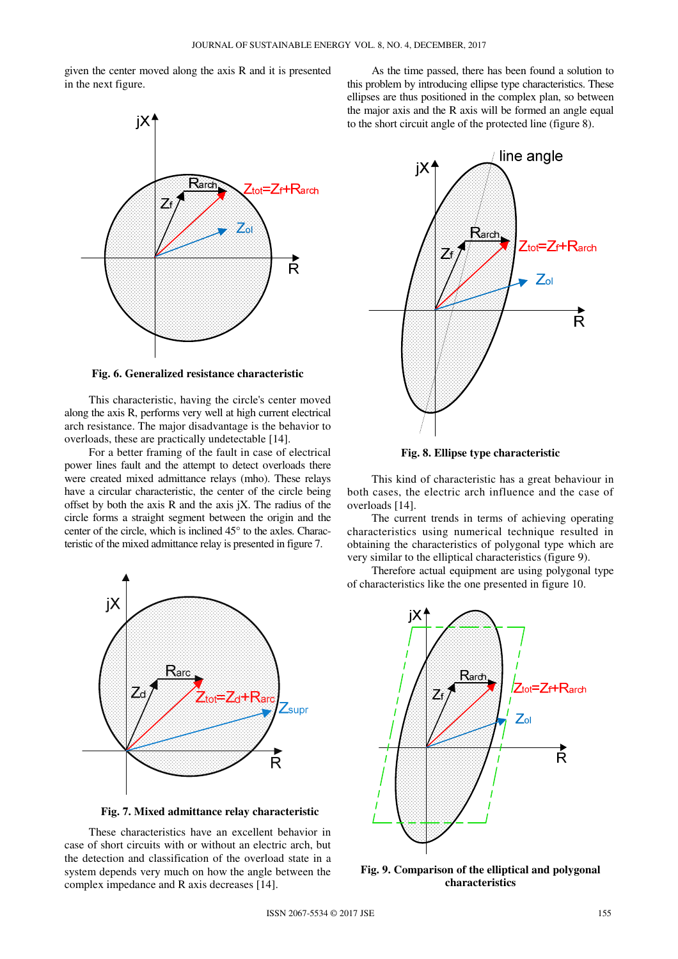given the center moved along the axis R and it is presented in the next figure.



**Fig. 6. Generalized resistance characteristic** 

This characteristic, having the circle's center moved along the axis R, performs very well at high current electrical arch resistance. The major disadvantage is the behavior to overloads, these are practically undetectable [14].

For a better framing of the fault in case of electrical power lines fault and the attempt to detect overloads there were created mixed admittance relays (mho). These relays have a circular characteristic, the center of the circle being offset by both the axis  $R$  and the axis  $jX$ . The radius of the circle forms a straight segment between the origin and the center of the circle, which is inclined 45° to the axles. Characteristic of the mixed admittance relay is presented in figure 7.



**Fig. 7. Mixed admittance relay characteristic** 

These characteristics have an excellent behavior in case of short circuits with or without an electric arch, but the detection and classification of the overload state in a system depends very much on how the angle between the complex impedance and R axis decreases [14].

As the time passed, there has been found a solution to this problem by introducing ellipse type characteristics. These ellipses are thus positioned in the complex plan, so between the major axis and the R axis will be formed an angle equal to the short circuit angle of the protected line (figure 8).



**Fig. 8. Ellipse type characteristic** 

This kind of characteristic has a great behaviour in both cases, the electric arch influence and the case of overloads [14].

The current trends in terms of achieving operating characteristics using numerical technique resulted in obtaining the characteristics of polygonal type which are very similar to the elliptical characteristics (figure 9).

Therefore actual equipment are using polygonal type of characteristics like the one presented in figure 10.



**Fig. 9. Comparison of the elliptical and polygonal characteristics**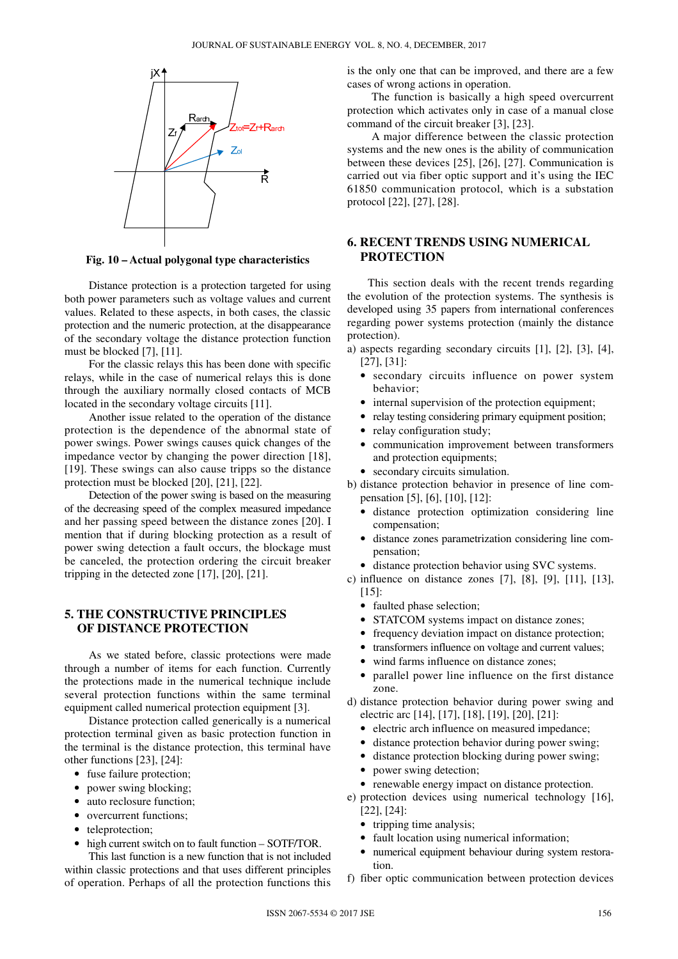

**Fig. 10 – Actual polygonal type characteristics** 

Distance protection is a protection targeted for using both power parameters such as voltage values and current values. Related to these aspects, in both cases, the classic protection and the numeric protection, at the disappearance of the secondary voltage the distance protection function must be blocked [7], [11].

For the classic relays this has been done with specific relays, while in the case of numerical relays this is done through the auxiliary normally closed contacts of MCB located in the secondary voltage circuits [11].

Another issue related to the operation of the distance protection is the dependence of the abnormal state of power swings. Power swings causes quick changes of the impedance vector by changing the power direction [18], [19]. These swings can also cause tripps so the distance protection must be blocked [20], [21], [22].

Detection of the power swing is based on the measuring of the decreasing speed of the complex measured impedance and her passing speed between the distance zones [20]. I mention that if during blocking protection as a result of power swing detection a fault occurs, the blockage must be canceled, the protection ordering the circuit breaker tripping in the detected zone [17], [20], [21].

## **5. THE CONSTRUCTIVE PRINCIPLES OF DISTANCE PROTECTION**

As we stated before, classic protections were made through a number of items for each function. Currently the protections made in the numerical technique include several protection functions within the same terminal equipment called numerical protection equipment [3].

Distance protection called generically is a numerical protection terminal given as basic protection function in the terminal is the distance protection, this terminal have other functions [23], [24]:

- fuse failure protection;
- power swing blocking;
- auto reclosure function;
- overcurrent functions:
- teleprotection;
- high current switch on to fault function SOTF/TOR.

This last function is a new function that is not included within classic protections and that uses different principles of operation. Perhaps of all the protection functions this is the only one that can be improved, and there are a few cases of wrong actions in operation.

The function is basically a high speed overcurrent protection which activates only in case of a manual close command of the circuit breaker [3], [23].

A major difference between the classic protection systems and the new ones is the ability of communication between these devices [25], [26], [27]. Communication is carried out via fiber optic support and it's using the IEC 61850 communication protocol, which is a substation protocol [22], [27], [28].

### **6. RECENT TRENDS USING NUMERICAL PROTECTION**

This section deals with the recent trends regarding the evolution of the protection systems. The synthesis is developed using 35 papers from international conferences regarding power systems protection (mainly the distance protection).

- a) aspects regarding secondary circuits [1], [2], [3], [4], [27], [31]:
	- secondary circuits influence on power system behavior;
	- internal supervision of the protection equipment;
	- relay testing considering primary equipment position;
	- relay configuration study;
	- communication improvement between transformers and protection equipments:
	- secondary circuits simulation.
- b) distance protection behavior in presence of line compensation [5], [6], [10], [12]:
	- distance protection optimization considering line compensation;
	- distance zones parametrization considering line compensation;
	- distance protection behavior using SVC systems.
- c) influence on distance zones [7], [8], [9], [11], [13], [15]:
	- faulted phase selection;
	- STATCOM systems impact on distance zones;
	- frequency deviation impact on distance protection;
	- transformers influence on voltage and current values;
	- wind farms influence on distance zones;
	- parallel power line influence on the first distance zone.
- d) distance protection behavior during power swing and electric arc [14], [17], [18], [19], [20], [21]:
	- electric arch influence on measured impedance;
	- distance protection behavior during power swing;
	- distance protection blocking during power swing;
	- power swing detection:
	- renewable energy impact on distance protection.
- e) protection devices using numerical technology [16], [22], [24]:
	- tripping time analysis;
	- fault location using numerical information;
	- numerical equipment behaviour during system restoration.
- f) fiber optic communication between protection devices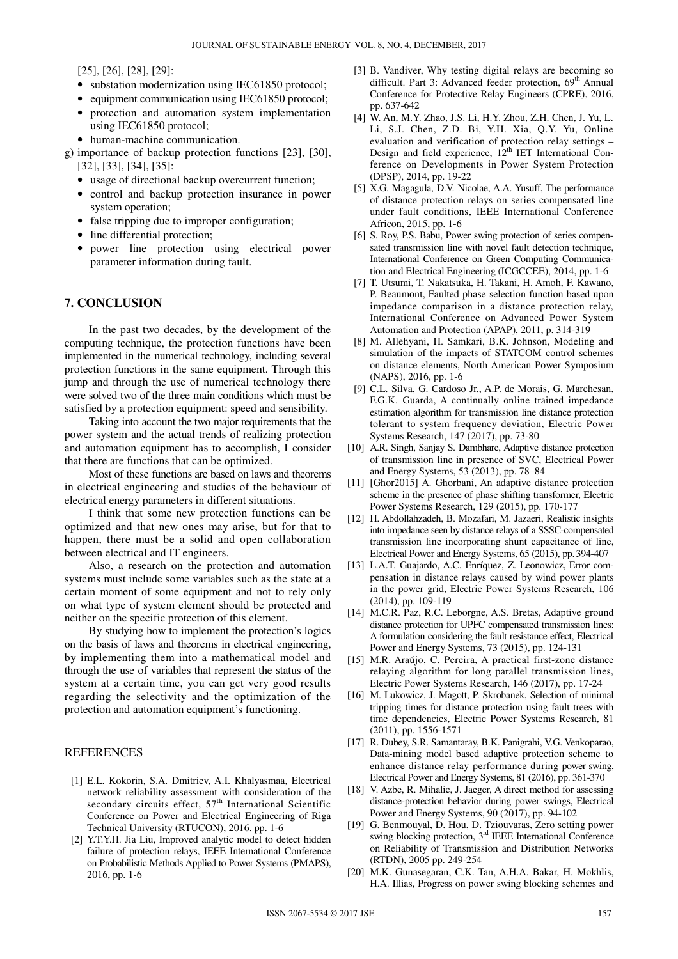[25], [26], [28], [29]:

- substation modernization using IEC61850 protocol;
- equipment communication using IEC61850 protocol;
- protection and automation system implementation using IEC61850 protocol;
- human-machine communication.
- g) importance of backup protection functions [23], [30], [32], [33], [34], [35]:
	- usage of directional backup overcurrent function;
	- control and backup protection insurance in power system operation;
	- false tripping due to improper configuration;
	- line differential protection;
	- power line protection using electrical power parameter information during fault.

#### **7. CONCLUSION**

In the past two decades, by the development of the computing technique, the protection functions have been implemented in the numerical technology, including several protection functions in the same equipment. Through this jump and through the use of numerical technology there were solved two of the three main conditions which must be satisfied by a protection equipment: speed and sensibility.

Taking into account the two major requirements that the power system and the actual trends of realizing protection and automation equipment has to accomplish, I consider that there are functions that can be optimized.

Most of these functions are based on laws and theorems in electrical engineering and studies of the behaviour of electrical energy parameters in different situations.

I think that some new protection functions can be optimized and that new ones may arise, but for that to happen, there must be a solid and open collaboration between electrical and IT engineers.

Also, a research on the protection and automation systems must include some variables such as the state at a certain moment of some equipment and not to rely only on what type of system element should be protected and neither on the specific protection of this element.

By studying how to implement the protection's logics on the basis of laws and theorems in electrical engineering, by implementing them into a mathematical model and through the use of variables that represent the status of the system at a certain time, you can get very good results regarding the selectivity and the optimization of the protection and automation equipment's functioning.

#### REFERENCES

- [1] E.L. Kokorin, S.A. Dmitriev, A.I. Khalyasmaa, Electrical network reliability assessment with consideration of the secondary circuits effect,  $57<sup>th</sup>$  International Scientific Conference on Power and Electrical Engineering of Riga Technical University (RTUCON), 2016. pp. 1-6
- [2] Y.T.Y.H. Jia Liu, Improved analytic model to detect hidden failure of protection relays, IEEE International Conference on Probabilistic Methods Applied to Power Systems (PMAPS), 2016, pp. 1-6
- [3] B. Vandiver, Why testing digital relays are becoming so difficult. Part 3: Advanced feeder protection, 69<sup>th</sup> Annual Conference for Protective Relay Engineers (CPRE), 2016, pp. 637-642
- [4] W. An, M.Y. Zhao, J.S. Li, H.Y. Zhou, Z.H. Chen, J. Yu, L. Li, S.J. Chen, Z.D. Bi, Y.H. Xia, Q.Y. Yu, Online evaluation and verification of protection relay settings – Design and field experience,  $12<sup>th</sup> IET$  International Conference on Developments in Power System Protection (DPSP), 2014, pp. 19-22
- [5] X.G. Magagula, D.V. Nicolae, A.A. Yusuff, The performance of distance protection relays on series compensated line under fault conditions, IEEE International Conference Africon, 2015, pp. 1-6
- [6] S. Roy, P.S. Babu, Power swing protection of series compensated transmission line with novel fault detection technique, International Conference on Green Computing Communication and Electrical Engineering (ICGCCEE), 2014, pp. 1-6
- [7] T. Utsumi, T. Nakatsuka, H. Takani, H. Amoh, F. Kawano, P. Beaumont, Faulted phase selection function based upon impedance comparison in a distance protection relay, International Conference on Advanced Power System Automation and Protection (APAP), 2011, p. 314-319
- [8] M. Allehyani, H. Samkari, B.K. Johnson, Modeling and simulation of the impacts of STATCOM control schemes on distance elements, North American Power Symposium (NAPS), 2016, pp. 1-6
- [9] C.L. Silva, G. Cardoso Jr., A.P. de Morais, G. Marchesan, F.G.K. Guarda, A continually online trained impedance estimation algorithm for transmission line distance protection tolerant to system frequency deviation, Electric Power Systems Research, 147 (2017), pp. 73-80
- [10] A.R. Singh, Sanjay S. Dambhare, Adaptive distance protection of transmission line in presence of SVC, Electrical Power and Energy Systems, 53 (2013), pp. 78–84
- [11] [Ghor2015] A. Ghorbani, An adaptive distance protection scheme in the presence of phase shifting transformer, Electric Power Systems Research, 129 (2015), pp. 170-177
- [12] H. Abdollahzadeh, B. Mozafari, M. Jazaeri, Realistic insights into impedance seen by distance relays of a SSSC-compensated transmission line incorporating shunt capacitance of line, Electrical Power and Energy Systems, 65 (2015), pp.394-407
- [13] L.A.T. Guajardo, A.C. Enríquez, Z. Leonowicz, Error compensation in distance relays caused by wind power plants in the power grid, Electric Power Systems Research, 106 (2014), pp. 109-119
- [14] M.C.R. Paz, R.C. Leborgne, A.S. Bretas, Adaptive ground distance protection for UPFC compensated transmission lines: A formulation considering the fault resistance effect, Electrical Power and Energy Systems, 73 (2015), pp. 124-131
- [15] M.R. Araújo, C. Pereira, A practical first-zone distance relaying algorithm for long parallel transmission lines, Electric Power Systems Research, 146 (2017), pp. 17-24
- [16] M. Lukowicz, J. Magott, P. Skrobanek, Selection of minimal tripping times for distance protection using fault trees with time dependencies, Electric Power Systems Research, 81 (2011), pp. 1556-1571
- [17] R. Dubey, S.R. Samantaray, B.K. Panigrahi, V.G. Venkoparao, Data-mining model based adaptive protection scheme to enhance distance relay performance during power swing, Electrical Power and Energy Systems, 81 (2016), pp. 361-370
- [18] V. Azbe, R. Mihalic, J. Jaeger, A direct method for assessing distance-protection behavior during power swings, Electrical Power and Energy Systems, 90 (2017), pp. 94-102
- [19] G. Benmouyal, D. Hou, D. Tziouvaras, Zero setting power swing blocking protection, 3<sup>rd</sup> IEEE International Conference on Reliability of Transmission and Distribution Networks (RTDN), 2005 pp. 249-254
- [20] M.K. Gunasegaran, C.K. Tan, A.H.A. Bakar, H. Mokhlis, H.A. Illias, Progress on power swing blocking schemes and